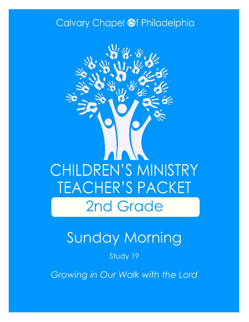### Calvary Chapel @f Philadelphia



# Sunday Morning

#### Study 19

*Growing in Our Walk with the Lord*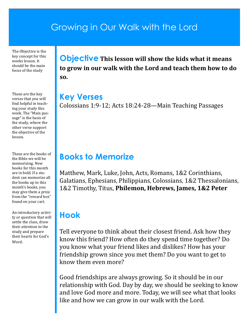### Growing in Our Walk with the Lord

The Objective is the key concept for this weeks lesson. It should be the main focus of the study

These are the key verses that you will find helpful in teaching your study this week. The "Main passage" is the basis of the study, where the other verse support the objective of the lesson.

These are the books of the Bible we will be memorizing. New books for this month are in bold. If a student can memorize all the books up to this month's books, you may give them a prize from the "reward box" found on your cart.

An introductory activity or question that will settle the class, draw their attention to the study and prepare their hearts for God's Word.

**Objective This lesson will show the kids what it means to grow in our walk with the Lord and teach them how to do so.**

**Key Verses** Colossians 1:9-12; Acts 18:24-28—Main Teaching Passages

#### **Books to Memorize**

Matthew, Mark, Luke, John, Acts, Romans, 1&2 Corinthians, Galatians, Ephesians, Philippians, Colossians, 1&2 Thessalonians, 1&2 Timothy, Titus, **Philemon, Hebrews, James, 1&2 Peter**

### **Hook**

Tell everyone to think about their closest friend. Ask how they know this friend? How often do they spend time together? Do you know what your friend likes and dislikes? How has your friendship grown since you met them? Do you want to get to know them even more?

Good friendships are always growing. So it should be in our relationship with God. Day by day, we should be seeking to know and love God more and more. Today, we will see what that looks like and how we can grow in our walk with the Lord.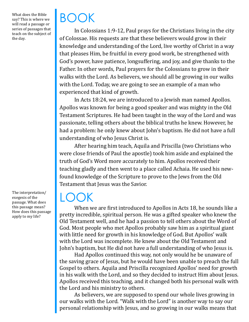What does the Bible say? This is where we will read a passage or series of passages that teach on the subject of the day.

The interpretation/ exegesis of the passage. What does this passage mean? How does this passage apply to my life?

# BOOK

In Colossians 1:9-12, Paul prays for the Christians living in the city of Colossae. His requests are that these believers would grow in their knowledge and understanding of the Lord, live worthy of Christ in a way that pleases Him, be fruitful in every good work, be strengthened with God's power, have patience, longsuffering, and joy, and give thanks to the Father. In other words, Paul prayers for the Colossians to grow in their walks with the Lord. As believers, we should all be growing in our walks with the Lord. Today, we are going to see an example of a man who experienced that kind of growth.

In Acts 18:24, we are introduced to a Jewish man named Apollos. Apollos was known for being a good speaker and was mighty in the Old Testament Scriptures. He had been taught in the way of the Lord and was passionate, telling others about the biblical truths he knew. However, he had a problem: he only knew about John's baptism. He did not have a full understanding of who Jesus Christ is.

After hearing him teach, Aquila and Priscilla (two Christians who were close friends of Paul the apostle) took him aside and explained the truth of God's Word more accurately to him. Apollos received their teaching gladly and then went to a place called Achaia. He used his newfound knowledge of the Scripture to prove to the Jews from the Old Testament that Jesus was the Savior.

### $\mathsf{L}(\mathcal{C})$

When we are first introduced to Apollos in Acts 18, he sounds like a pretty incredible, spiritual person. He was a gifted speaker who knew the Old Testament well, and he had a passion to tell others about the Word of God. Most people who met Apollos probably saw him as a spiritual giant with little need for growth in his knowledge of God. But Apollos' walk with the Lord was incomplete. He knew about the Old Testament and John's baptism, but He did not have a full understanding of who Jesus is.

Had Apollos continued this way, not only would he be unaware of the saving grace of Jesus, but he would have been unable to preach the full Gospel to others. Aquila and Priscilla recognized Apollos' need for growth in his walk with the Lord, and so they decided to instruct Him about Jesus. Apollos received this teaching, and it changed both his personal walk with the Lord and his ministry to others.

As believers, we are supposed to spend our whole lives growing in our walks with the Lord. "Walk with the Lord" is another way to say our personal relationship with Jesus, and so growing in our walks means that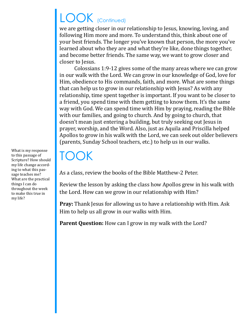# LOOK (Continued)

we are getting closer in our relationship to Jesus, knowing, loving, and following Him more and more. To understand this, think about one of your best friends. The longer you've known that person, the more you've learned about who they are and what they're like, done things together, and become better friends. The same way, we want to grow closer and closer to Jesus.

Colossians 1:9-12 gives some of the many areas where we can grow in our walk with the Lord. We can grow in our knowledge of God, love for Him, obedience to His commands, faith, and more. What are some things that can help us to grow in our relationship with Jesus? As with any relationship, time spent together is important. If you want to be closer to a friend, you spend time with them getting to know them. It's the same way with God. We can spend time with Him by praying, reading the Bible with our families, and going to church. And by going to church, that doesn't mean just entering a building, but truly seeking out Jesus in prayer, worship, and the Word. Also, just as Aquila and Priscilla helped Apollos to grow in his walk with the Lord, we can seek out older believers (parents, Sunday School teachers, etc.) to help us in our walks.

## TOOK

As a class, review the books of the Bible Matthew-2 Peter.

Review the lesson by asking the class how Apollos grew in his walk with the Lord. How can we grow in our relationship with Him?

**Pray:** Thank Jesus for allowing us to have a relationship with Him. Ask Him to help us all grow in our walks with Him.

**Parent Question:** How can I grow in my walk with the Lord?

What is my response to this passage of Scripture? How should my life change according to what this passage teaches me? What are the practical things I can do throughout the week to make this true in my life?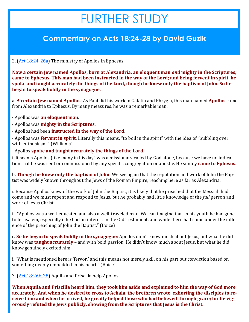## FURTHER STUDY

#### **Commentary on Acts 18:24-28 by David Guzik**

2. [\(Act 18:24](https://www.blueletterbible.org/kjv/acts/18/24-26/s_1036024)-26a) The ministry of Apollos in Ephesus.

**Now a certain Jew named Apollos, born at Alexandria, an eloquent man** *and* **mighty in the Scriptures, came to Ephesus. This man had been instructed in the way of the Lord; and being fervent in spirit, he spoke and taught accurately the things of the Lord, though he knew only the baptism of John. So he began to speak boldly in the synagogue.**

a. **A certain Jew named Apollos**: As Paul did his work in Galatia and Phrygia, this man named **Apollos** came from Alexandria to Ephesus. By many measures, he was a remarkable man.

- · Apollos was **an eloquent man**.
- · Apollos was **mighty in the Scriptures**.
- · Apollos had been **instructed in the way of the Lord**.

· Apollos was **fervent in spirit**. Literally this means, "to boil in the spirit" with the idea of "bubbling over with enthusiasm." (Williams)

· Apollos **spoke and taught accurately the things of the Lord**.

i. It seems Apollos (like many in his day) was a missionary called by God alone, because we have no indication that he was sent or commissioned by any specific congregation or apostle. He simply **came to Ephesus**.

b. **Though he knew only the baptism of John**: We see again that the reputation and work of John the Baptist was widely known throughout the Jews of the Roman Empire, reaching here as far as Alexandria.

i. Because Apollos knew of the work of John the Baptist, it is likely that he preached that the Messiah had come and we must repent and respond to Jesus, but he probably had little knowledge of the *full* person and work of Jesus Christ.

ii. "Apollos was a well-educated and also a well-traveled man. We can imagine that in his youth he had gone to Jerusalem, especially if he had an interest in the Old Testament, and while there had come under the influence of the preaching of John the Baptist." (Boice)

c. **So he began to speak boldly in the synagogue**: Apollos didn't know much about Jesus, but what he did know was **taught accurately** – and with bold passion. He didn't know much about Jesus, but what he did know genuinely excited him.

i. "What is mentioned here is 'fervor,' and this means not merely skill on his part but conviction based on something deeply embedded in his heart." (Boice)

3. [\(Act 18:26b](https://www.blueletterbible.org/kjv/acts/18/26-28/s_1036026)-28) Aquila and Priscilla help Apollos.

**When Aquila and Priscilla heard him, they took him aside and explained to him the way of God more accurately. And when he desired to cross to Achaia, the brethren wrote, exhorting the disciples to receive him; and when he arrived, he greatly helped those who had believed through grace; for he vigorously refuted the Jews publicly, showing from the Scriptures that Jesus is the Christ.**